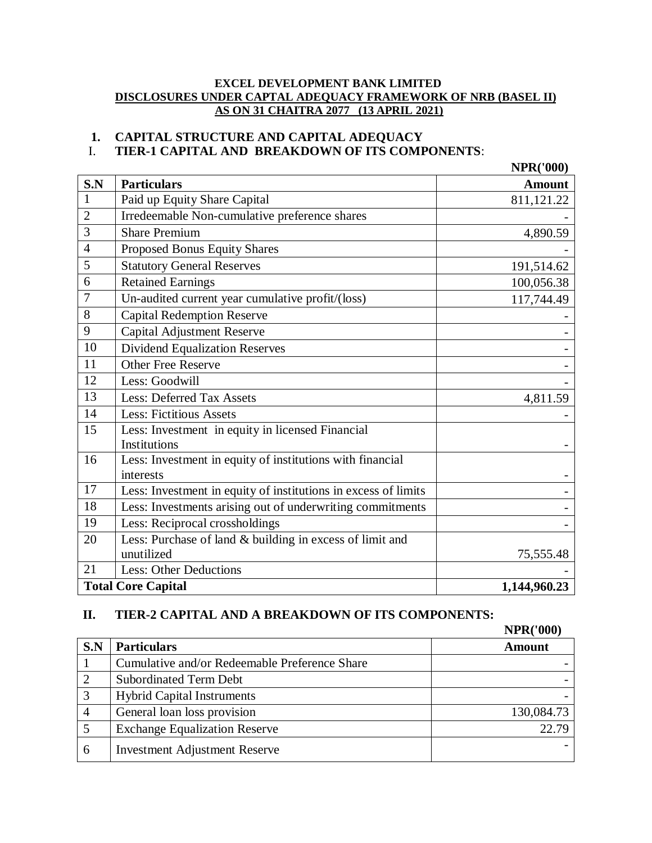#### **EXCEL DEVELOPMENT BANK LIMITED DISCLOSURES UNDER CAPTAL ADEQUACY FRAMEWORK OF NRB (BASEL II) AS ON 31 CHAITRA 2077 (13 APRIL 2021)**

# **1. CAPITAL STRUCTURE AND CAPITAL ADEQUACY**

# I. **TIER-1 CAPITAL AND BREAKDOWN OF ITS COMPONENTS**:

|                |                                                                        | <b>NPR('000)</b> |
|----------------|------------------------------------------------------------------------|------------------|
| S.N            | <b>Particulars</b>                                                     | <b>Amount</b>    |
| $\mathbf{1}$   | Paid up Equity Share Capital                                           | 811,121.22       |
| $\overline{2}$ | Irredeemable Non-cumulative preference shares                          |                  |
| 3              | <b>Share Premium</b>                                                   | 4,890.59         |
| $\overline{4}$ | Proposed Bonus Equity Shares                                           |                  |
| 5              | <b>Statutory General Reserves</b>                                      | 191,514.62       |
| 6              | <b>Retained Earnings</b>                                               | 100,056.38       |
| $\overline{7}$ | Un-audited current year cumulative profit/(loss)                       | 117,744.49       |
| 8              | <b>Capital Redemption Reserve</b>                                      |                  |
| 9              | Capital Adjustment Reserve                                             |                  |
| 10             | <b>Dividend Equalization Reserves</b>                                  |                  |
| 11             | <b>Other Free Reserve</b>                                              |                  |
| 12             | Less: Goodwill                                                         |                  |
| 13             | <b>Less: Deferred Tax Assets</b>                                       | 4,811.59         |
| 14             | <b>Less: Fictitious Assets</b>                                         |                  |
| 15             | Less: Investment in equity in licensed Financial<br>Institutions       |                  |
| 16             | Less: Investment in equity of institutions with financial<br>interests |                  |
| 17             | Less: Investment in equity of institutions in excess of limits         |                  |
| 18             | Less: Investments arising out of underwriting commitments              |                  |
| 19             | Less: Reciprocal crossholdings                                         |                  |
| 20             | Less: Purchase of land & building in excess of limit and               |                  |
|                | unutilized                                                             | 75,555.48        |
| 21             | <b>Less: Other Deductions</b>                                          |                  |
|                | <b>Total Core Capital</b>                                              | 1,144,960.23     |

#### **II. TIER-2 CAPITAL AND A BREAKDOWN OF ITS COMPONENTS:**

|     |                                               | <b>NPR('000)</b> |
|-----|-----------------------------------------------|------------------|
| S.N | <b>Particulars</b>                            | <b>Amount</b>    |
|     | Cumulative and/or Redeemable Preference Share |                  |
|     | <b>Subordinated Term Debt</b>                 |                  |
| 3   | <b>Hybrid Capital Instruments</b>             |                  |
| 4   | General loan loss provision                   | 130,084.73       |
|     | <b>Exchange Equalization Reserve</b>          | 22.79            |
| 6   | <b>Investment Adjustment Reserve</b>          |                  |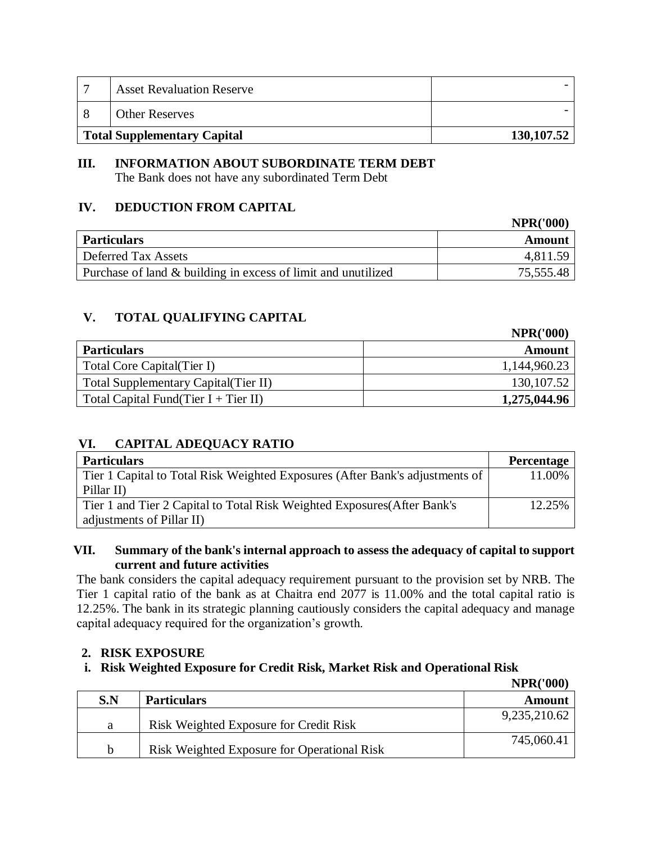| −                           | <b>Asset Revaluation Reserve</b> |             |
|-----------------------------|----------------------------------|-------------|
|                             | <b>Other Reserves</b>            |             |
| Total Supplementary Capital |                                  | 130, 107.52 |

# **III. INFORMATION ABOUT SUBORDINATE TERM DEBT**

The Bank does not have any subordinated Term Debt

# **IV. DEDUCTION FROM CAPITAL**

|                                                               | <b>NPR('000)</b> |
|---------------------------------------------------------------|------------------|
| <b>Particulars</b>                                            | Amount           |
| Deferred Tax Assets                                           | 4.811.59         |
| Purchase of land & building in excess of limit and unutilized | 75,555.48        |

# **V. TOTAL QUALIFYING CAPITAL**

|                                       | <b>NPR('000)</b> |
|---------------------------------------|------------------|
| <b>Particulars</b>                    | Amount           |
| Total Core Capital (Tier I)           | 1,144,960.23     |
| Total Supplementary Capital (Tier II) | 130, 107.52      |
| Total Capital Fund(Tier I + Tier II)  | 1,275,044.96     |

# **VI. CAPITAL ADEQUACY RATIO**

| <b>Particulars</b>                                                           | <b>Percentage</b> |
|------------------------------------------------------------------------------|-------------------|
| Tier 1 Capital to Total Risk Weighted Exposures (After Bank's adjustments of | 11.00%            |
| Pillar II)                                                                   |                   |
| Tier 1 and Tier 2 Capital to Total Risk Weighted Exposures (After Bank's     | 12.25%            |
| adjustments of Pillar II)                                                    |                   |

#### **VII. Summary of the bank's internal approach to assess the adequacy of capital to support current and future activities**

The bank considers the capital adequacy requirement pursuant to the provision set by NRB. The Tier 1 capital ratio of the bank as at Chaitra end 2077 is 11.00% and the total capital ratio is 12.25%. The bank in its strategic planning cautiously considers the capital adequacy and manage capital adequacy required for the organization's growth.

# **2. RISK EXPOSURE**

# **i. Risk Weighted Exposure for Credit Risk, Market Risk and Operational Risk**

|     |                                             | <b>NPR('000)</b> |
|-----|---------------------------------------------|------------------|
| S.N | <b>Particulars</b>                          | Amount           |
| a   | Risk Weighted Exposure for Credit Risk      | 9,235,210.62     |
| h   | Risk Weighted Exposure for Operational Risk | 745,060.41       |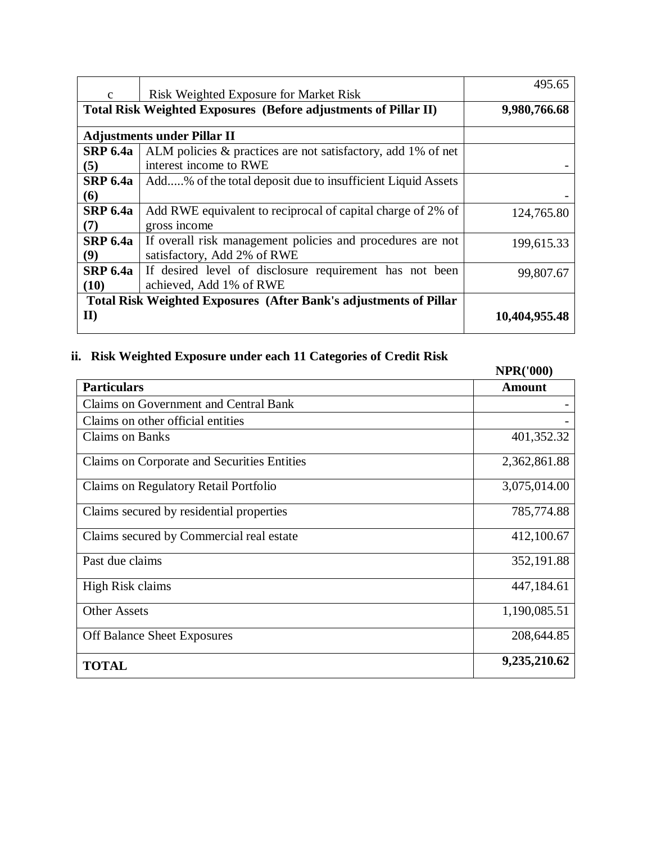| $\mathbf{c}$            | Risk Weighted Exposure for Market Risk                                                    | 495.65        |
|-------------------------|-------------------------------------------------------------------------------------------|---------------|
|                         | Total Risk Weighted Exposures (Before adjustments of Pillar II)                           | 9,980,766.68  |
|                         | <b>Adjustments under Pillar II</b>                                                        |               |
| <b>SRP 6.4a</b><br>(5)  | ALM policies & practices are not satisfactory, add 1% of net<br>interest income to RWE    |               |
| <b>SRP 6.4a</b><br>(6)  | Add% of the total deposit due to insufficient Liquid Assets                               |               |
| <b>SRP 6.4a</b><br>(7)  | Add RWE equivalent to reciprocal of capital charge of 2% of<br>gross income               | 124,765.80    |
| <b>SRP 6.4a</b><br>(9)  | If overall risk management policies and procedures are not<br>satisfactory, Add 2% of RWE | 199,615.33    |
| <b>SRP 6.4a</b><br>(10) | If desired level of disclosure requirement has not been<br>achieved, Add 1% of RWE        | 99,807.67     |
| $\mathbf{I}$            | <b>Total Risk Weighted Exposures (After Bank's adjustments of Pillar</b>                  | 10,404,955.48 |

# **ii. Risk Weighted Exposure under each 11 Categories of Credit Risk**

|                                              | <b>NPR('000)</b> |
|----------------------------------------------|------------------|
| <b>Particulars</b>                           | <b>Amount</b>    |
| <b>Claims on Government and Central Bank</b> |                  |
| Claims on other official entities            |                  |
| <b>Claims on Banks</b>                       | 401,352.32       |
| Claims on Corporate and Securities Entities  | 2,362,861.88     |
| Claims on Regulatory Retail Portfolio        | 3,075,014.00     |
| Claims secured by residential properties     | 785,774.88       |
| Claims secured by Commercial real estate     | 412,100.67       |
| Past due claims                              | 352,191.88       |
| High Risk claims                             | 447,184.61       |
| <b>Other Assets</b>                          | 1,190,085.51     |
| <b>Off Balance Sheet Exposures</b>           | 208,644.85       |
| <b>TOTAL</b>                                 | 9,235,210.62     |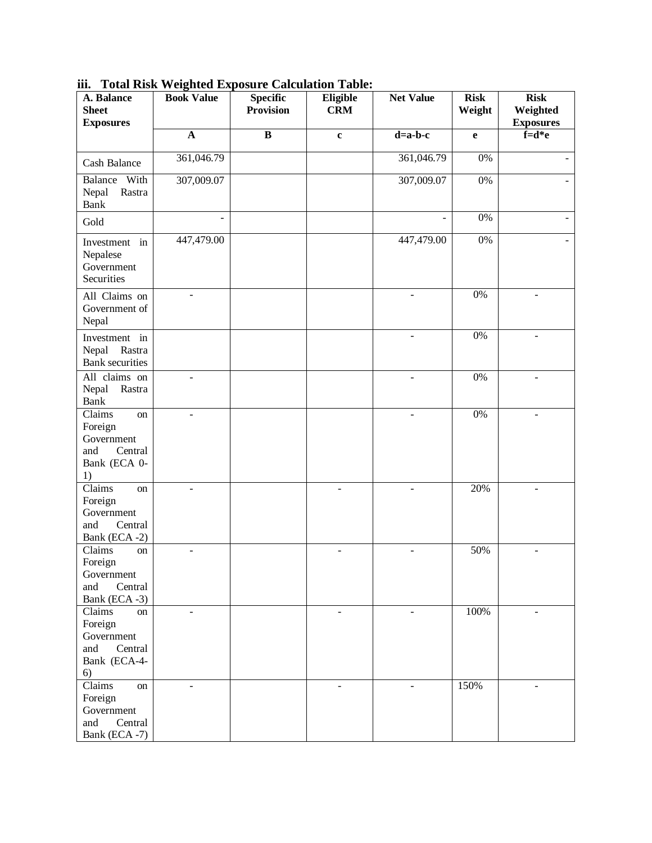| A. Balance<br><b>Sheet</b><br><b>Exposures</b>                                | <b>Book Value</b> | <b>Specific</b><br><b>Provision</b> | Eligible<br><b>CRM</b>   | <b>Net Value</b> | <b>Risk</b><br>Weight | <b>Risk</b><br>Weighted<br><b>Exposures</b> |
|-------------------------------------------------------------------------------|-------------------|-------------------------------------|--------------------------|------------------|-----------------------|---------------------------------------------|
|                                                                               | $\mathbf{A}$      | $\overline{\mathbf{B}}$             | $\mathbf c$              | $d=a-b-c$        | $\mathbf e$           | $\overline{f}=d*e$                          |
| <b>Cash Balance</b>                                                           | 361,046.79        |                                     |                          | 361,046.79       | $0\%$                 |                                             |
| Balance<br>With<br>Nepal<br>Rastra<br>Bank                                    | 307,009.07        |                                     |                          | 307,009.07       | $0\%$                 |                                             |
| Gold                                                                          |                   |                                     |                          |                  | 0%                    |                                             |
| Investment in<br>Nepalese<br>Government<br>Securities                         | 447,479.00        |                                     |                          | 447,479.00       | 0%                    |                                             |
| All Claims on<br>Government of<br>Nepal                                       | L,                |                                     |                          | $\overline{a}$   | $0\%$                 | $\blacksquare$                              |
| Investment in<br>Nepal<br>Rastra<br><b>Bank</b> securities                    |                   |                                     |                          | ÷,               | $0\%$                 | ÷                                           |
| All claims on<br>Nepal<br>Rastra<br><b>Bank</b>                               |                   |                                     |                          |                  | $0\%$                 |                                             |
| Claims<br>on<br>Foreign<br>Government<br>Central<br>and<br>Bank (ECA 0-<br>1) |                   |                                     |                          |                  | $0\%$                 |                                             |
| Claims<br>on<br>Foreign<br>Government<br>Central<br>and<br>Bank (ECA-2)       | $\overline{a}$    |                                     | $\overline{\phantom{a}}$ | $\blacksquare$   | 20%                   | $\blacksquare$                              |
| Claims<br>on<br>Foreign<br>Government<br>and<br>Central<br>Bank (ECA -3)      |                   |                                     | ٠                        |                  | 50%                   |                                             |
| Claims<br>on<br>Foreign<br>Government<br>Central<br>and<br>Bank (ECA-4-<br>6) |                   |                                     |                          |                  | 100%                  |                                             |
| Claims<br>on<br>Foreign<br>Government<br>and<br>Central<br>Bank (ECA -7)      | ÷,                |                                     | $\blacksquare$           | $\blacksquare$   | 150%                  | $\overline{\phantom{a}}$                    |

**iii. Total Risk Weighted Exposure Calculation Table:**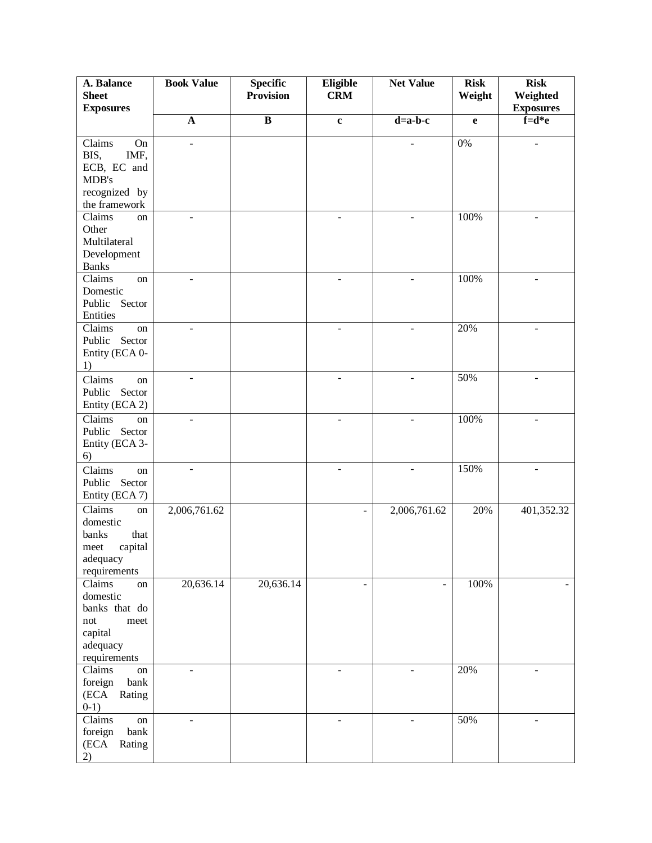| <b>Book Value</b><br><b>Specific</b><br>Eligible<br><b>Net Value</b><br><b>Risk</b><br>A. Balance<br><b>Provision</b><br><b>CRM</b><br><b>Sheet</b><br>Weight | <b>Risk</b><br>Weighted  |
|---------------------------------------------------------------------------------------------------------------------------------------------------------------|--------------------------|
| <b>Exposures</b>                                                                                                                                              | <b>Exposures</b>         |
| $\overline{\mathbf{B}}$<br>${\bf A}$<br>$d=a-b-c$<br>$\mathbf c$<br>$\mathbf{e}$                                                                              | $f = d * e$              |
|                                                                                                                                                               |                          |
| $0\%$<br>Claims<br>On<br>÷,                                                                                                                                   | $\overline{\phantom{a}}$ |
| IMF,<br>BIS,<br>ECB, EC and                                                                                                                                   |                          |
| MDB's                                                                                                                                                         |                          |
| recognized by                                                                                                                                                 |                          |
| the framework                                                                                                                                                 |                          |
| 100%<br>Claims<br>on<br>$\overline{\phantom{0}}$<br>÷                                                                                                         | ÷                        |
| Other                                                                                                                                                         |                          |
| Multilateral                                                                                                                                                  |                          |
| Development                                                                                                                                                   |                          |
| <b>Banks</b>                                                                                                                                                  |                          |
| Claims<br>100%<br>on<br>$\overline{a}$<br>÷,                                                                                                                  |                          |
| Domestic                                                                                                                                                      |                          |
| Public Sector                                                                                                                                                 |                          |
| Entities                                                                                                                                                      |                          |
| 20%<br>Claims<br>on<br>$\blacksquare$<br>$\overline{\phantom{a}}$<br>$\blacksquare$                                                                           | ÷                        |
| Sector<br>Public                                                                                                                                              |                          |
| Entity (ECA 0-                                                                                                                                                |                          |
| 1)                                                                                                                                                            |                          |
| 50%<br>Claims<br>$\blacksquare$<br>$\overline{\phantom{a}}$<br>$\overline{\phantom{a}}$<br>on                                                                 | $\overline{\phantom{a}}$ |
| Sector<br>Public                                                                                                                                              |                          |
| Entity (ECA 2)                                                                                                                                                |                          |
| Claims<br>100%<br>on<br>$\overline{a}$                                                                                                                        |                          |
| Public<br>Sector                                                                                                                                              |                          |
| Entity (ECA 3-                                                                                                                                                |                          |
| 6)<br>150%                                                                                                                                                    |                          |
| Claims<br>$\blacksquare$<br>$\sim$<br>$\blacksquare$<br>on                                                                                                    |                          |
| Public<br>Sector                                                                                                                                              |                          |
| Entity (ECA 7)                                                                                                                                                |                          |
| Claims<br>2,006,761.62<br>2,006,761.62<br>20%<br>on<br>$\blacksquare$                                                                                         | 401,352.32               |
| domestic                                                                                                                                                      |                          |
| banks<br>that                                                                                                                                                 |                          |
| capital<br>meet<br>adequacy                                                                                                                                   |                          |
| requirements                                                                                                                                                  |                          |
| 20,636.14<br>20,636.14<br>Claims<br>100%<br>on<br>$\overline{\phantom{a}}$<br>÷,                                                                              |                          |
| domestic                                                                                                                                                      |                          |
| banks that do                                                                                                                                                 |                          |
| not<br>meet                                                                                                                                                   |                          |
| capital                                                                                                                                                       |                          |
| adequacy                                                                                                                                                      |                          |
| requirements                                                                                                                                                  |                          |
| Claims<br>20%<br>on<br>L,<br>$\overline{\phantom{0}}$<br>L,                                                                                                   | $\overline{\phantom{0}}$ |
| foreign<br>bank                                                                                                                                               |                          |
| (ECA<br>Rating                                                                                                                                                |                          |
| $0-1)$                                                                                                                                                        |                          |
| 50%<br>Claims<br>on<br>÷,<br>bank                                                                                                                             |                          |
| foreign<br>Rating<br>(ECA                                                                                                                                     |                          |
| 2)                                                                                                                                                            |                          |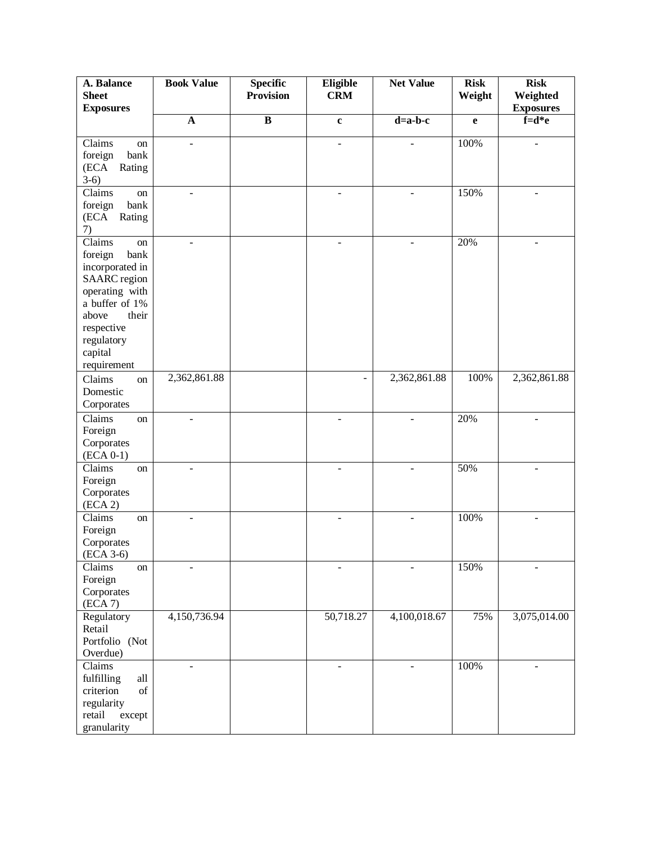| A. Balance<br><b>Sheet</b>       | <b>Book Value</b>        | <b>Specific</b><br><b>Provision</b> | Eligible<br><b>CRM</b>   | <b>Net Value</b>         | <b>Risk</b><br>Weight | <b>Risk</b><br>Weighted |
|----------------------------------|--------------------------|-------------------------------------|--------------------------|--------------------------|-----------------------|-------------------------|
| <b>Exposures</b>                 |                          |                                     |                          |                          |                       | <b>Exposures</b>        |
|                                  | $\mathbf{A}$             | $\overline{\mathbf{B}}$             | $\mathbf c$              | $d=a-b-c$                | $\mathbf{e}$          | $f = d * e$             |
| $\overline{\text{Clains}}$<br>on | $\overline{a}$           |                                     | $\blacksquare$           |                          | 100%                  |                         |
| foreign<br>bank                  |                          |                                     |                          |                          |                       |                         |
| (ECA<br>Rating                   |                          |                                     |                          |                          |                       |                         |
| $3-6)$                           |                          |                                     |                          |                          |                       |                         |
| Claims<br>$\,$ on                | $\blacksquare$           |                                     | $\overline{\phantom{a}}$ |                          | 150%                  |                         |
| foreign<br>bank                  |                          |                                     |                          |                          |                       |                         |
| (ECA<br>Rating                   |                          |                                     |                          |                          |                       |                         |
| 7)                               |                          |                                     |                          |                          |                       |                         |
| Claims<br>on                     | $\overline{a}$           |                                     | $\blacksquare$           | ÷,                       | 20%                   | $\blacksquare$          |
| foreign<br>bank                  |                          |                                     |                          |                          |                       |                         |
| incorporated in                  |                          |                                     |                          |                          |                       |                         |
| <b>SAARC</b> region              |                          |                                     |                          |                          |                       |                         |
| operating with                   |                          |                                     |                          |                          |                       |                         |
| a buffer of 1%                   |                          |                                     |                          |                          |                       |                         |
| their<br>above                   |                          |                                     |                          |                          |                       |                         |
| respective                       |                          |                                     |                          |                          |                       |                         |
| regulatory                       |                          |                                     |                          |                          |                       |                         |
| capital                          |                          |                                     |                          |                          |                       |                         |
| requirement                      |                          |                                     |                          |                          |                       |                         |
| Claims<br>on                     | 2,362,861.88             |                                     |                          | 2,362,861.88             | 100%                  | 2,362,861.88            |
| Domestic                         |                          |                                     |                          |                          |                       |                         |
| Corporates                       |                          |                                     |                          |                          |                       |                         |
| Claims<br>on                     | $\overline{a}$           |                                     |                          |                          | 20%                   |                         |
| Foreign                          |                          |                                     |                          |                          |                       |                         |
| Corporates                       |                          |                                     |                          |                          |                       |                         |
| $(ECA 0-1)$                      |                          |                                     |                          |                          |                       |                         |
| Claims<br>on                     | $\overline{a}$           |                                     | $\overline{a}$           |                          | 50%                   |                         |
| Foreign                          |                          |                                     |                          |                          |                       |                         |
| Corporates                       |                          |                                     |                          |                          |                       |                         |
| (ECA2)                           |                          |                                     |                          |                          |                       |                         |
| Claims<br>on                     | $\overline{\phantom{a}}$ |                                     | $\overline{\phantom{a}}$ | $\overline{\phantom{0}}$ | 100%                  |                         |
| Foreign                          |                          |                                     |                          |                          |                       |                         |
| Corporates                       |                          |                                     |                          |                          |                       |                         |
| $(ECA 3-6)$                      |                          |                                     |                          |                          |                       |                         |
| Claims<br>on                     |                          |                                     |                          |                          | 150%                  |                         |
| Foreign                          |                          |                                     |                          |                          |                       |                         |
| Corporates                       |                          |                                     |                          |                          |                       |                         |
| (ECA 7)                          |                          |                                     |                          |                          |                       |                         |
| Regulatory                       | 4,150,736.94             |                                     | 50,718.27                | 4,100,018.67             | 75%                   | 3,075,014.00            |
| Retail                           |                          |                                     |                          |                          |                       |                         |
| Portfolio (Not                   |                          |                                     |                          |                          |                       |                         |
| Overdue)                         |                          |                                     |                          |                          |                       |                         |
| Claims                           | $\overline{\phantom{a}}$ |                                     | $\overline{\phantom{a}}$ | ÷,                       | 100%                  |                         |
| fulfilling<br>all                |                          |                                     |                          |                          |                       |                         |
| criterion<br>of                  |                          |                                     |                          |                          |                       |                         |
| regularity                       |                          |                                     |                          |                          |                       |                         |
| retail<br>except                 |                          |                                     |                          |                          |                       |                         |
| granularity                      |                          |                                     |                          |                          |                       |                         |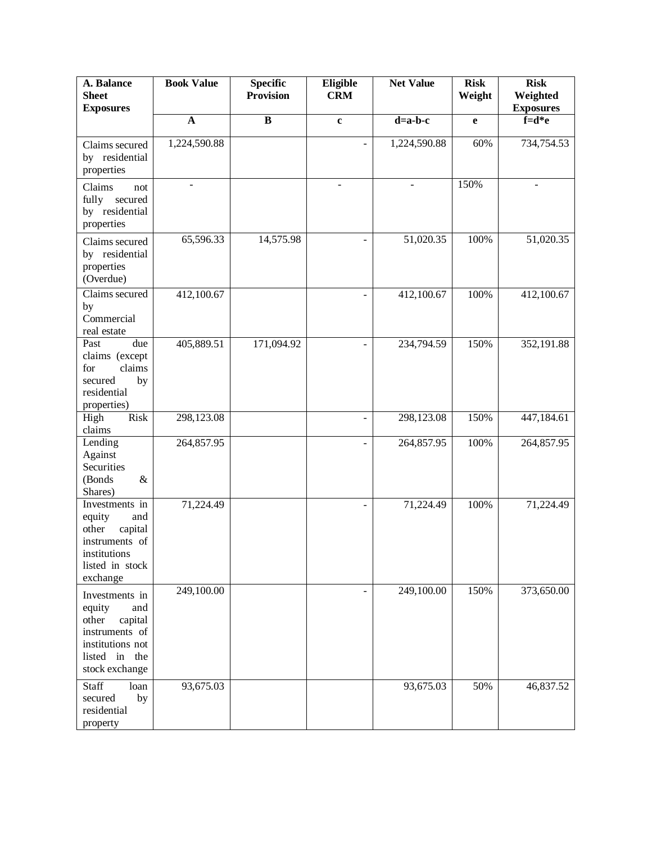| A. Balance<br><b>Sheet</b><br><b>Exposures</b>                                                                               | <b>Book Value</b> | Specific<br><b>Provision</b> | Eligible<br><b>CRM</b> | <b>Net Value</b> | <b>Risk</b><br>Weight | <b>Risk</b><br>Weighted<br><b>Exposures</b> |
|------------------------------------------------------------------------------------------------------------------------------|-------------------|------------------------------|------------------------|------------------|-----------------------|---------------------------------------------|
|                                                                                                                              | $\mathbf A$       | $\bf{B}$                     | $\mathbf c$            | $d=a-b-c$        | e                     | $f = d * e$                                 |
| Claims secured<br>by residential<br>properties                                                                               | 1,224,590.88      |                              |                        | 1,224,590.88     | 60%                   | 734,754.53                                  |
| Claims<br>not<br>fully<br>secured<br>by residential<br>properties                                                            |                   |                              | L,                     |                  | 150%                  |                                             |
| Claims secured<br>by residential<br>properties<br>(Overdue)                                                                  | 65,596.33         | 14,575.98                    | L.                     | 51,020.35        | 100%                  | 51,020.35                                   |
| Claims secured<br>by<br>Commercial<br>real estate                                                                            | 412,100.67        |                              |                        | 412,100.67       | 100%                  | 412,100.67                                  |
| Past<br>due<br>claims (except<br>claims<br>for<br>secured<br>by<br>residential<br>properties)                                | 405,889.51        | 171,094.92                   | ÷,                     | 234,794.59       | 150%                  | 352,191.88                                  |
| Risk<br>High<br>claims                                                                                                       | 298,123.08        |                              | ÷,                     | 298,123.08       | 150%                  | 447,184.61                                  |
| Lending<br>Against<br>Securities<br>(Bonds<br>&<br>Shares)                                                                   | 264,857.95        |                              | ÷,                     | 264,857.95       | 100%                  | 264,857.95                                  |
| Investments in<br>equity<br>and<br>capital<br>other<br>instruments of<br>institutions<br>listed in stock<br>exchange         | 71,224.49         |                              | L.                     | 71,224.49        | 100%                  | 71,224.49                                   |
| Investments in<br>equity<br>and<br>other<br>capital<br>instruments of<br>institutions not<br>listed in the<br>stock exchange | 249,100.00        |                              | ÷,                     | 249,100.00       | 150%                  | 373,650.00                                  |
| Staff<br>loan<br>secured<br>by<br>residential<br>property                                                                    | 93,675.03         |                              |                        | 93,675.03        | 50%                   | 46,837.52                                   |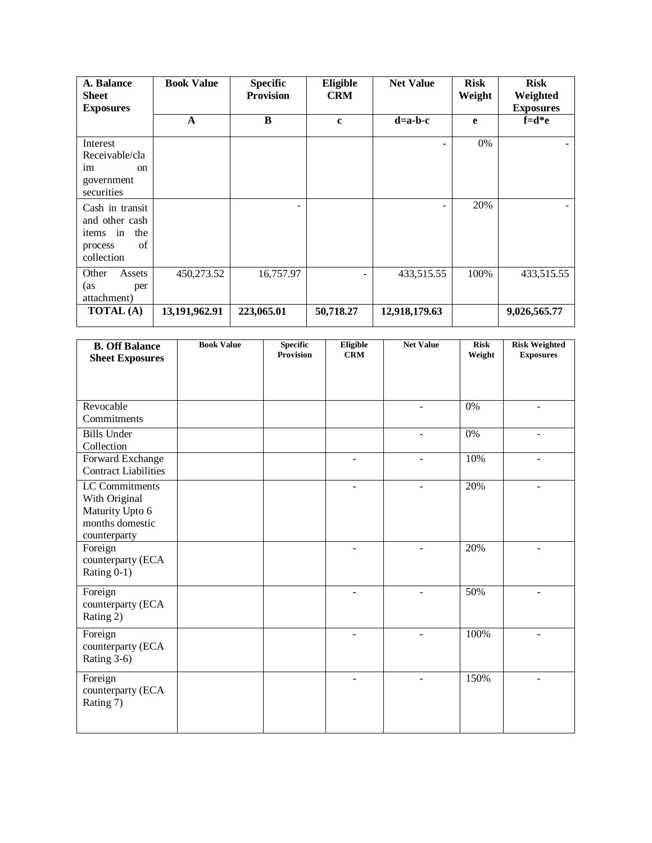| A. Balance<br><b>Sheet</b><br><b>Exposures</b>                                      | <b>Book Value</b> | <b>Specific</b><br><b>Provision</b> | Eligible<br><b>CRM</b> | <b>Net Value</b> | <b>Risk</b><br>Weight | <b>Risk</b><br>Weighted<br><b>Exposures</b> |
|-------------------------------------------------------------------------------------|-------------------|-------------------------------------|------------------------|------------------|-----------------------|---------------------------------------------|
|                                                                                     | $\mathbf A$       | B                                   | $\mathbf{c}$           | $d=a-b-c$        | e                     | $f = d * e$                                 |
| Interest<br>Receivable/cla<br>im<br><sub>on</sub><br>government<br>securities       |                   |                                     |                        |                  | 0%                    |                                             |
| Cash in transit<br>and other cash<br>the<br>items in<br>of<br>process<br>collection |                   |                                     |                        |                  | 20%                   |                                             |
| Other<br>Assets<br>(as<br>per<br>attachment)                                        | 450,273.52        | 16,757.97                           |                        | 433,515.55       | 100%                  | 433,515.55                                  |
| <b>TOTAL</b> (A)                                                                    | 13,191,962.91     | 223,065.01                          | 50,718.27              | 12,918,179.63    |                       | 9,026,565.77                                |

| <b>B. Off Balance</b>              | <b>Book Value</b> | <b>Specific</b><br><b>Provision</b> | Eligible<br><b>CRM</b> | <b>Net Value</b> | <b>Risk</b>      | <b>Risk Weighted</b>     |
|------------------------------------|-------------------|-------------------------------------|------------------------|------------------|------------------|--------------------------|
| <b>Sheet Exposures</b>             |                   |                                     |                        |                  | Weight           | <b>Exposures</b>         |
|                                    |                   |                                     |                        |                  |                  |                          |
|                                    |                   |                                     |                        |                  |                  |                          |
| Revocable                          |                   |                                     |                        |                  | 0%               |                          |
| Commitments                        |                   |                                     |                        |                  |                  |                          |
| <b>Bills Under</b>                 |                   |                                     |                        | ÷.               | $\overline{0\%}$ |                          |
| Collection                         |                   |                                     |                        |                  |                  |                          |
| Forward Exchange                   |                   |                                     |                        |                  | 10%              |                          |
| <b>Contract Liabilities</b>        |                   |                                     |                        |                  |                  |                          |
| <b>LC</b> Commitments              |                   |                                     |                        |                  | 20%              |                          |
| With Original                      |                   |                                     |                        |                  |                  |                          |
| Maturity Upto 6<br>months domestic |                   |                                     |                        |                  |                  |                          |
| counterparty                       |                   |                                     |                        |                  |                  |                          |
| Foreign                            |                   |                                     |                        |                  | 20%              |                          |
| counterparty (ECA                  |                   |                                     |                        |                  |                  |                          |
| Rating 0-1)                        |                   |                                     |                        |                  |                  |                          |
| Foreign                            |                   |                                     |                        |                  | 50%              |                          |
| counterparty (ECA                  |                   |                                     |                        |                  |                  |                          |
| Rating 2)                          |                   |                                     |                        |                  |                  |                          |
| Foreign                            |                   |                                     | ÷                      | $\blacksquare$   | 100%             | $\overline{\phantom{a}}$ |
| counterparty (ECA                  |                   |                                     |                        |                  |                  |                          |
| Rating 3-6)                        |                   |                                     |                        |                  |                  |                          |
|                                    |                   |                                     |                        |                  |                  |                          |
| Foreign<br>counterparty (ECA       |                   |                                     | ۳                      |                  | 150%             |                          |
| Rating 7)                          |                   |                                     |                        |                  |                  |                          |
|                                    |                   |                                     |                        |                  |                  |                          |
|                                    |                   |                                     |                        |                  |                  |                          |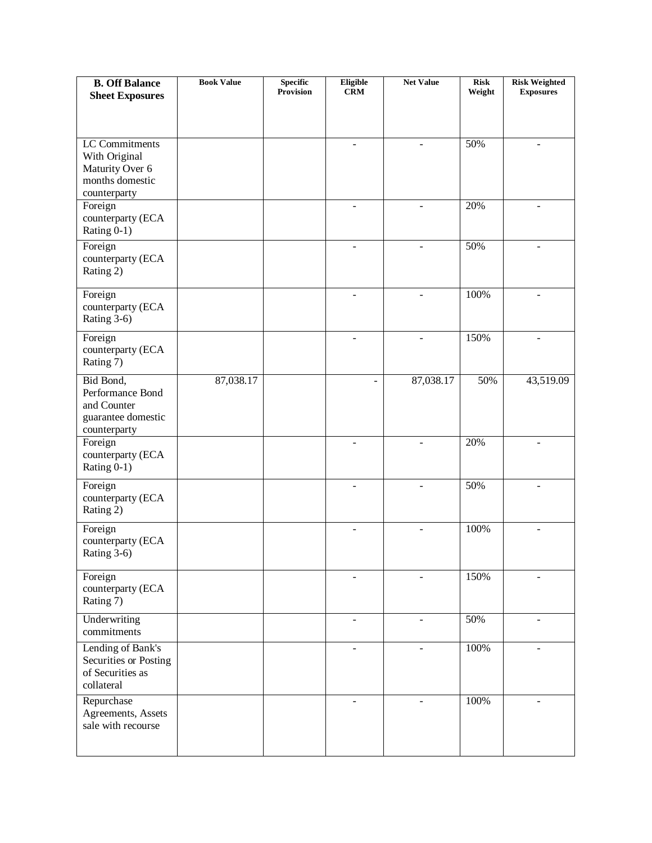| <b>B. Off Balance</b>            | <b>Book Value</b> | <b>Specific</b><br><b>Provision</b> | Eligible<br><b>CRM</b> | <b>Net Value</b>         | <b>Risk</b><br>Weight | <b>Risk Weighted</b><br><b>Exposures</b> |
|----------------------------------|-------------------|-------------------------------------|------------------------|--------------------------|-----------------------|------------------------------------------|
| <b>Sheet Exposures</b>           |                   |                                     |                        |                          |                       |                                          |
|                                  |                   |                                     |                        |                          |                       |                                          |
| <b>LC</b> Commitments            |                   |                                     | $\blacksquare$         | $\blacksquare$           | 50%                   | $\overline{\phantom{a}}$                 |
| With Original                    |                   |                                     |                        |                          |                       |                                          |
| Maturity Over 6                  |                   |                                     |                        |                          |                       |                                          |
| months domestic                  |                   |                                     |                        |                          |                       |                                          |
| counterparty<br>Foreign          |                   |                                     | $\overline{a}$         | $\overline{a}$           | 20%                   | ÷.                                       |
| counterparty (ECA                |                   |                                     |                        |                          |                       |                                          |
| Rating 0-1)                      |                   |                                     |                        |                          |                       |                                          |
| Foreign                          |                   |                                     |                        |                          | 50%                   |                                          |
| counterparty (ECA                |                   |                                     |                        |                          |                       |                                          |
| Rating 2)                        |                   |                                     |                        |                          |                       |                                          |
| Foreign                          |                   |                                     |                        |                          | 100%                  |                                          |
| counterparty (ECA                |                   |                                     |                        |                          |                       |                                          |
| Rating 3-6)                      |                   |                                     |                        |                          |                       |                                          |
| Foreign                          |                   |                                     |                        |                          | 150%                  |                                          |
| counterparty (ECA<br>Rating 7)   |                   |                                     |                        |                          |                       |                                          |
| Bid Bond,                        | 87,038.17         |                                     |                        | 87,038.17                | 50%                   |                                          |
| Performance Bond                 |                   |                                     |                        |                          |                       | 43,519.09                                |
| and Counter                      |                   |                                     |                        |                          |                       |                                          |
| guarantee domestic               |                   |                                     |                        |                          |                       |                                          |
| counterparty                     |                   |                                     |                        |                          | 20%                   |                                          |
| Foreign<br>counterparty (ECA     |                   |                                     | $\sim$                 |                          |                       | ÷                                        |
| Rating 0-1)                      |                   |                                     |                        |                          |                       |                                          |
| Foreign                          |                   |                                     |                        |                          | 50%                   |                                          |
| counterparty (ECA                |                   |                                     |                        |                          |                       |                                          |
| Rating 2)                        |                   |                                     |                        |                          |                       |                                          |
| Foreign                          |                   |                                     |                        |                          | 100%                  |                                          |
| counterparty (ECA                |                   |                                     |                        |                          |                       |                                          |
| Rating 3-6)                      |                   |                                     |                        |                          |                       |                                          |
| Foreign                          |                   |                                     | $\blacksquare$         |                          | 150%                  | ÷                                        |
| counterparty (ECA<br>Rating 7)   |                   |                                     |                        |                          |                       |                                          |
|                                  |                   |                                     |                        |                          |                       |                                          |
| Underwriting<br>commitments      |                   |                                     | $\blacksquare$         | $\overline{\phantom{a}}$ | 50%                   | $\overline{\phantom{0}}$                 |
| Lending of Bank's                |                   |                                     | $\blacksquare$         | $\blacksquare$           | 100%                  | $\blacksquare$                           |
| Securities or Posting            |                   |                                     |                        |                          |                       |                                          |
| of Securities as                 |                   |                                     |                        |                          |                       |                                          |
| collateral                       |                   |                                     |                        |                          |                       |                                          |
| Repurchase<br>Agreements, Assets |                   |                                     |                        |                          | 100%                  |                                          |
| sale with recourse               |                   |                                     |                        |                          |                       |                                          |
|                                  |                   |                                     |                        |                          |                       |                                          |
|                                  |                   |                                     |                        |                          |                       |                                          |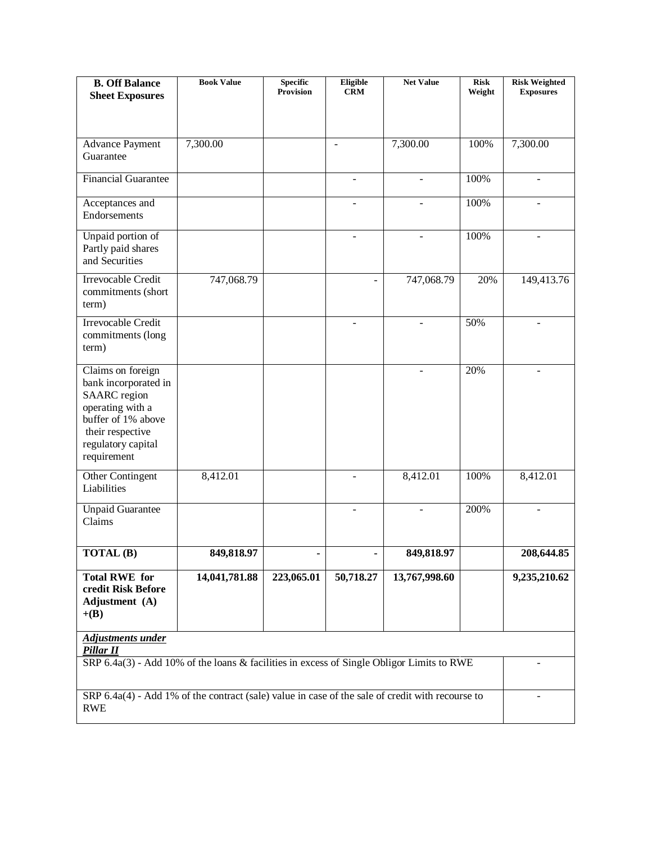| <b>B. Off Balance</b><br><b>Sheet Exposures</b>                                                                                                                     | <b>Book Value</b> | <b>Specific</b><br><b>Provision</b> | Eligible<br><b>CRM</b>   | <b>Net Value</b> | <b>Risk</b><br>Weight | <b>Risk Weighted</b><br><b>Exposures</b> |
|---------------------------------------------------------------------------------------------------------------------------------------------------------------------|-------------------|-------------------------------------|--------------------------|------------------|-----------------------|------------------------------------------|
|                                                                                                                                                                     |                   |                                     |                          |                  |                       |                                          |
| <b>Advance Payment</b><br>Guarantee                                                                                                                                 | 7,300.00          |                                     | $\sim$                   | 7,300.00         | 100%                  | 7,300.00                                 |
| <b>Financial Guarantee</b>                                                                                                                                          |                   |                                     | $\overline{\phantom{a}}$ |                  | 100%                  | $\overline{\phantom{a}}$                 |
| Acceptances and<br>Endorsements                                                                                                                                     |                   |                                     |                          |                  | 100%                  |                                          |
| Unpaid portion of<br>Partly paid shares<br>and Securities                                                                                                           |                   |                                     | $\sim$                   | $\blacksquare$   | 100%                  | $\overline{\phantom{a}}$                 |
| <b>Irrevocable Credit</b><br>commitments (short<br>term)                                                                                                            | 747,068.79        |                                     |                          | 747,068.79       | 20%                   | 149,413.76                               |
| Irrevocable Credit<br>commitments (long<br>term)                                                                                                                    |                   |                                     |                          |                  | 50%                   |                                          |
| Claims on foreign<br>bank incorporated in<br><b>SAARC</b> region<br>operating with a<br>buffer of 1% above<br>their respective<br>regulatory capital<br>requirement |                   |                                     |                          | $\blacksquare$   | 20%                   | $\overline{\phantom{a}}$                 |
| Other Contingent<br>Liabilities                                                                                                                                     | 8,412.01          |                                     |                          | 8,412.01         | 100%                  | 8,412.01                                 |
| <b>Unpaid Guarantee</b><br>Claims                                                                                                                                   |                   |                                     |                          |                  | 200%                  |                                          |
| TOTAL (B)                                                                                                                                                           | 849,818.97        |                                     |                          | 849,818.97       |                       | 208,644.85                               |
| <b>Total RWE for</b><br>credit Risk Before<br>Adjustment (A)<br>$+(B)$                                                                                              | 14,041,781.88     | 223,065.01                          | 50,718.27                | 13,767,998.60    |                       | 9,235,210.62                             |
| <b>Adjustments under</b><br>Pillar II                                                                                                                               |                   |                                     |                          |                  |                       |                                          |
| SRP 6.4a(3) - Add 10% of the loans & facilities in excess of Single Obligor Limits to RWE                                                                           |                   |                                     |                          |                  |                       |                                          |
| SRP 6.4a(4) - Add 1% of the contract (sale) value in case of the sale of credit with recourse to<br>$\overline{\phantom{0}}$<br><b>RWE</b>                          |                   |                                     |                          |                  |                       |                                          |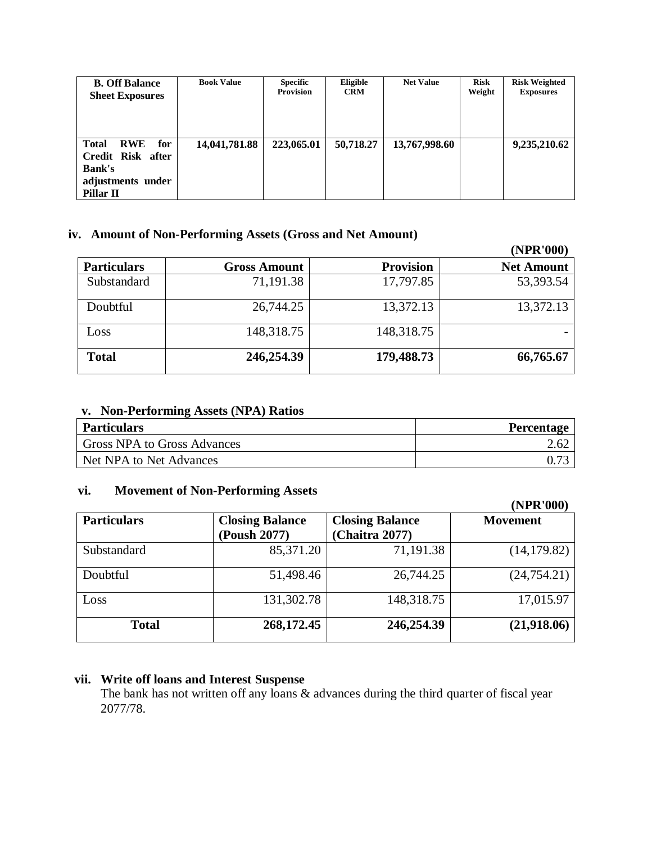| <b>B. Off Balance</b><br><b>Sheet Exposures</b>                                                           | <b>Book Value</b> | <b>Specific</b><br><b>Provision</b> | Eligible<br><b>CRM</b> | <b>Net Value</b> | <b>Risk</b><br>Weight | <b>Risk Weighted</b><br><b>Exposures</b> |
|-----------------------------------------------------------------------------------------------------------|-------------------|-------------------------------------|------------------------|------------------|-----------------------|------------------------------------------|
| <b>Total</b><br><b>RWE</b><br>for<br>Credit Risk after<br><b>Bank's</b><br>adjustments under<br>Pillar II | 14,041,781.88     | 223,065.01                          | 50,718.27              | 13,767,998.60    |                       | 9,235,210.62                             |

#### **iv. Amount of Non-Performing Assets (Gross and Net Amount)**

|                    |                     |                  | (NPR'000)         |
|--------------------|---------------------|------------------|-------------------|
| <b>Particulars</b> | <b>Gross Amount</b> | <b>Provision</b> | <b>Net Amount</b> |
| Substandard        | 71,191.38           | 17,797.85        | 53,393.54         |
| Doubtful           | 26,744.25           | 13,372.13        | 13,372.13         |
| Loss               | 148,318.75          | 148,318.75       |                   |
| <b>Total</b>       | 246,254.39          | 179,488.73       | 66,765.67         |

# **v. Non-Performing Assets (NPA) Ratios**

| <b>Particulars</b>                 | <b>Percentage</b> |
|------------------------------------|-------------------|
| <b>Gross NPA to Gross Advances</b> |                   |
| Net NPA to Net Advances            |                   |

#### **vi. Movement of Non-Performing Assets**

|                    |                                        |                                          | (NPR'000)       |
|--------------------|----------------------------------------|------------------------------------------|-----------------|
| <b>Particulars</b> | <b>Closing Balance</b><br>(Poush 2077) | <b>Closing Balance</b><br>(Chaitra 2077) | <b>Movement</b> |
| Substandard        | 85,371.20                              | 71,191.38                                | (14, 179.82)    |
| Doubtful           | 51,498.46                              | 26,744.25                                | (24, 754.21)    |
| Loss               | 131,302.78                             | 148,318.75                               | 17,015.97       |
| <b>Total</b>       | 268,172.45                             | 246,254.39                               | (21,918.06)     |

#### **vii. Write off loans and Interest Suspense**

The bank has not written off any loans & advances during the third quarter of fiscal year 2077/78.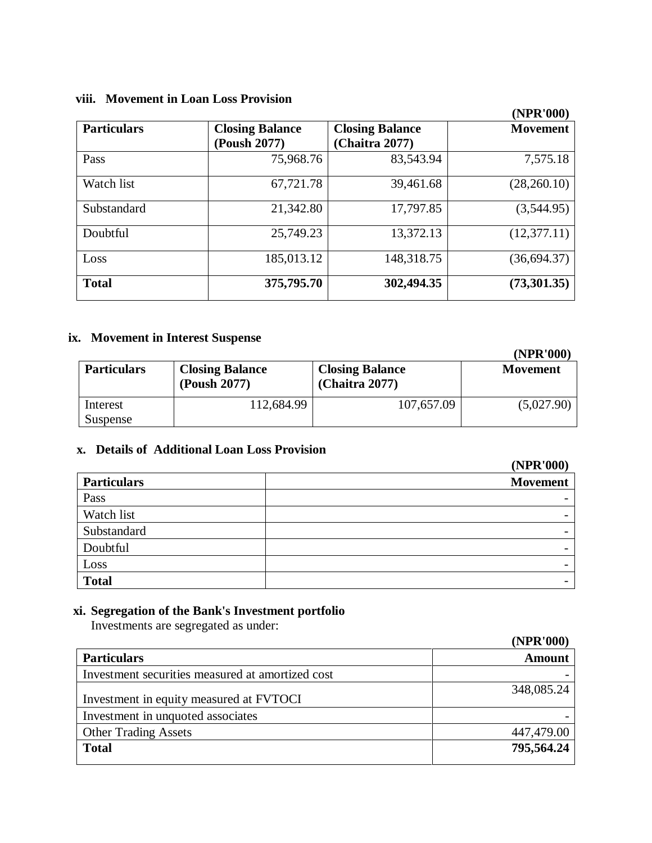# **viii. Movement in Loan Loss Provision**

|                    |                                        |                                          | (NPR'000)       |
|--------------------|----------------------------------------|------------------------------------------|-----------------|
| <b>Particulars</b> | <b>Closing Balance</b><br>(Poush 2077) | <b>Closing Balance</b><br>(Chaitra 2077) | <b>Movement</b> |
| Pass               | 75,968.76                              | 83,543.94                                | 7,575.18        |
| Watch list         | 67,721.78                              | 39,461.68                                | (28, 260.10)    |
| Substandard        | 21,342.80                              | 17,797.85                                | (3,544.95)      |
| Doubtful           | 25,749.23                              | 13,372.13                                | (12, 377.11)    |
| Loss               | 185,013.12                             | 148,318.75                               | (36, 694.37)    |
| <b>Total</b>       | 375,795.70                             | 302,494.35                               | (73,301.35)     |

### **ix. Movement in Interest Suspense**

**(NPR'000)**

| <b>Particulars</b> | <b>Closing Balance</b><br>(Poush 2077) | <b>Closing Balance</b><br>(Chaitra 2077) | <b>Movement</b> |
|--------------------|----------------------------------------|------------------------------------------|-----------------|
| Interest           | 112,684.99                             | 107,657.09                               | (5,027.90)      |
| Suspense           |                                        |                                          |                 |

### **x. Details of Additional Loan Loss Provision**

|                    | (NPR'000)                |
|--------------------|--------------------------|
| <b>Particulars</b> | <b>Movement</b>          |
| Pass               |                          |
| Watch list         | $\overline{\phantom{0}}$ |
| Substandard        |                          |
| Doubtful           | $\overline{\phantom{a}}$ |
| Loss               |                          |
| <b>Total</b>       |                          |

# **xi. Segregation of the Bank's Investment portfolio**

Investments are segregated as under:

|                                                  | (NPR'000)     |
|--------------------------------------------------|---------------|
| <b>Particulars</b>                               | <b>Amount</b> |
| Investment securities measured at amortized cost |               |
| Investment in equity measured at FVTOCI          | 348,085.24    |
| Investment in unquoted associates                |               |
| <b>Other Trading Assets</b>                      | 447,479.00    |
| <b>Total</b>                                     | 795,564.24    |